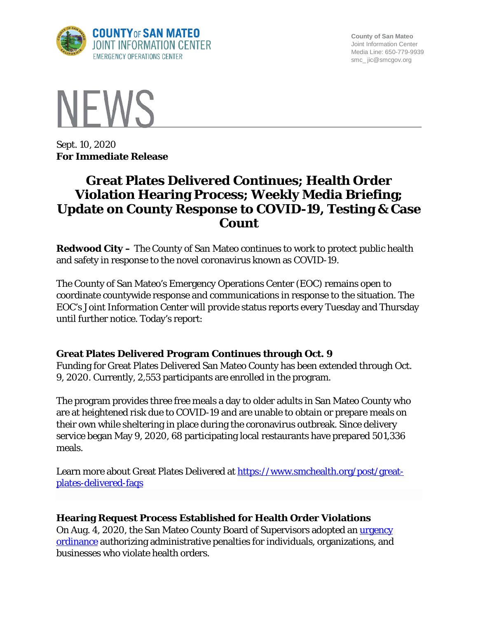

**County of San Mateo** Joint Information Center Media Line: 650-779-9939 smc\_ jic@smcgov.org



Sept. 10, 2020 **For Immediate Release**

# **Great Plates Delivered Continues; Health Order Violation Hearing Process; Weekly Media Briefing; Update on County Response to COVID-19, Testing & Case Count**

**Redwood City –** The County of San Mateo continues to work to protect public health and safety in response to the novel coronavirus known as COVID-19.

The County of San Mateo's Emergency Operations Center (EOC) remains open to coordinate countywide response and communications in response to the situation. The EOC's Joint Information Center will provide status reports every Tuesday and Thursday until further notice. Today's report:

# **Great Plates Delivered Program Continues through Oct. 9**

Funding for Great Plates Delivered San Mateo County has been extended through Oct. 9, 2020. Currently, 2,553 participants are enrolled in the program.

The program provides three free meals a day to older adults in San Mateo County who are at heightened risk due to COVID-19 and are unable to obtain or prepare meals on their own while sheltering in place during the coronavirus outbreak. Since delivery service began May 9, 2020, 68 participating local restaurants have prepared 501,336 meals.

Learn more about Great Plates Delivered at [https://www.smchealth.org/post/great](https://www.smchealth.org/post/great-plates-delivered-faqs)[plates-delivered-faqs](https://www.smchealth.org/post/great-plates-delivered-faqs)

# **Hearing Request Process Established for Health Order Violations**

On Aug. 4, 2020, the San Mateo County Board of Supervisors adopted an urgency [ordinance](https://sanmateocounty.legistar.com/LegislationDetail.aspx?ID=4606266&GUID=9D62703A-EA8F-44C4-95ED-034ED8DB9206&FullText=1) authorizing administrative penalties for individuals, organizations, and businesses who violate health orders.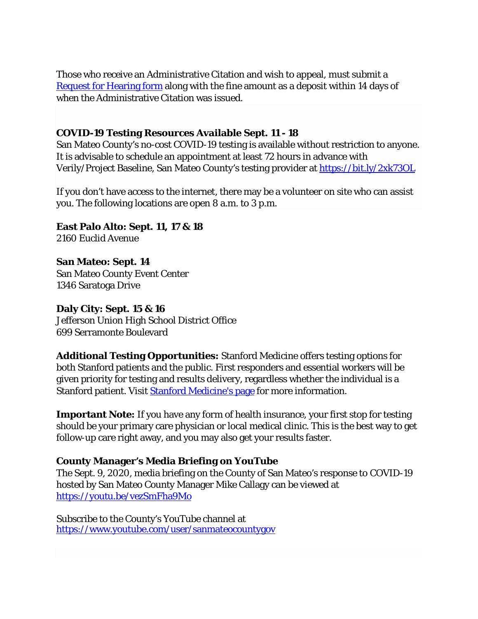Those who receive an Administrative Citation and wish to appeal, must submit a [Request for Hearing form](https://cmo.smcgov.org/sites/cmo.smcgov.org/files/CMO%20Health%20Hearing%20Form-fillable.pdf) along with the fine amount as a deposit within 14 days of when the Administrative Citation was issued.

# **COVID-19 Testing Resources Available Sept. 11 - 18**

San Mateo County's no-cost COVID-19 testing is available without restriction to anyone. It is advisable to schedule an appointment at least 72 hours in advance with Verily/Project Baseline, San Mateo County's testing provider at<https://bit.ly/2xk73OL>

If you don't have access to the internet, there may be a volunteer on site who can assist you. The following locations are open 8 a.m. to 3 p.m.

**East Palo Alto: Sept. 11, 17 & 18** 2160 Euclid Avenue

**San Mateo: Sept. 14** San Mateo County Event Center 1346 Saratoga Drive

**Daly City: Sept. 15 & 16** Jefferson Union High School District Office 699 Serramonte Boulevard

**Additional Testing Opportunities:** Stanford Medicine offers testing options for both Stanford patients and the public. First responders and essential workers will be given priority for testing and results delivery, regardless whether the individual is a Stanford patient. Visit [Stanford Medicine's page](https://stanfordhealthcare.org/discover/covid-19-resource-center/health-care-professionals/first-responders-essential-workers-resources-testing.html) for more information.

**Important Note:** If you have any form of health insurance, your first stop for testing should be your primary care physician or local medical clinic. This is the best way to get follow-up care right away, and you may also get your results faster.

# **County Manager's Media Briefing on YouTube**

The Sept. 9, 2020, media briefing on the County of San Mateo's response to COVID-19 hosted by San Mateo County Manager Mike Callagy can be viewed at <https://youtu.be/vezSmFha9Mo>

Subscribe to the County's YouTube channel at <https://www.youtube.com/user/sanmateocountygov>